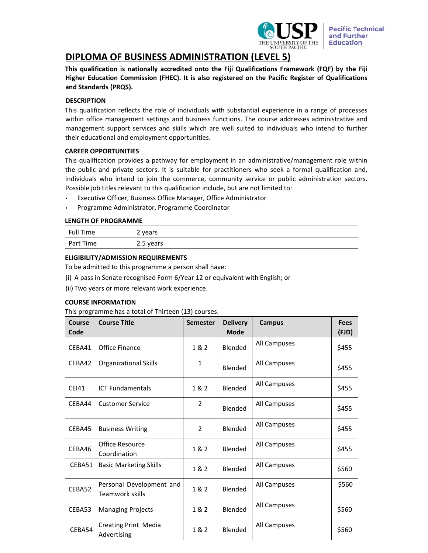

# **DIPLOMA OF BUSINESS ADMINISTRATION (LEVEL 5)**

**This qualification is nationally accredited onto the Fiji Qualifications Framework (FQF) by the Fiji Higher Education Commission (FHEC). It is also registered on the Pacific Register of Qualifications and Standards (PRQS).**

# **DESCRIPTION**

This qualification reflects the role of individuals with substantial experience in a range of processes within office management settings and business functions. The course addresses administrative and management support services and skills which are well suited to individuals who intend to further their educational and employment opportunities.

# **CAREER OPPORTUNITIES**

This qualification provides a pathway for employment in an administrative/management role within the public and private sectors. It is suitable for practitioners who seek a formal qualification and, individuals who intend to join the commerce, community service or public administration sectors. Possible job titles relevant to this qualification include, but are not limited to:

- Executive Officer, Business Office Manager, Office Administrator
- Programme Administrator, Programme Coordinator

# **LENGTH OF PROGRAMME**

| Full Time | 2 years   |
|-----------|-----------|
| Part Time | 2.5 years |

# **ELIGIBILITY/ADMISSION REQUIREMENTS**

To be admitted to this programme a person shall have:

(i) A pass in Senate recognised Form 6/Year 12 or equivalent with English; or

(ii) Two years or more relevant work experience.

## **COURSE INFORMATION**

This programme has a total of Thirteen (13) courses.

| Course<br>Code | <b>Course Title</b>                         | <b>Semester</b> | <b>Delivery</b><br><b>Mode</b> | <b>Campus</b> | <b>Fees</b><br>(FJD) |
|----------------|---------------------------------------------|-----------------|--------------------------------|---------------|----------------------|
| CEBA41         | <b>Office Finance</b>                       | 1 & 2           | Blended                        | All Campuses  | \$455                |
| CEBA42         | <b>Organizational Skills</b>                | 1               | Blended                        | All Campuses  | \$455                |
| <b>CEI41</b>   | <b>ICT Fundamentals</b>                     | 1 & 2           | Blended                        | All Campuses  | \$455                |
| CEBA44         | <b>Customer Service</b>                     | $\overline{2}$  | Blended                        | All Campuses  | \$455                |
| CEBA45         | <b>Business Writing</b>                     | 2               | Blended                        | All Campuses  | \$455                |
| CEBA46         | <b>Office Resource</b><br>Coordination      | 1 & 2           | Blended                        | All Campuses  | \$455                |
| CEBA51         | <b>Basic Marketing Skills</b>               | 1 & 2           | Blended                        | All Campuses  | \$560                |
| CEBA52         | Personal Development and<br>Teamwork skills | 1 & 2           | Blended                        | All Campuses  | \$560                |
| CEBA53         | <b>Managing Projects</b>                    | 1&2             | Blended                        | All Campuses  | \$560                |
| CEBA54         | <b>Creating Print Media</b><br>Advertising  | 1 & 2           | Blended                        | All Campuses  | \$560                |